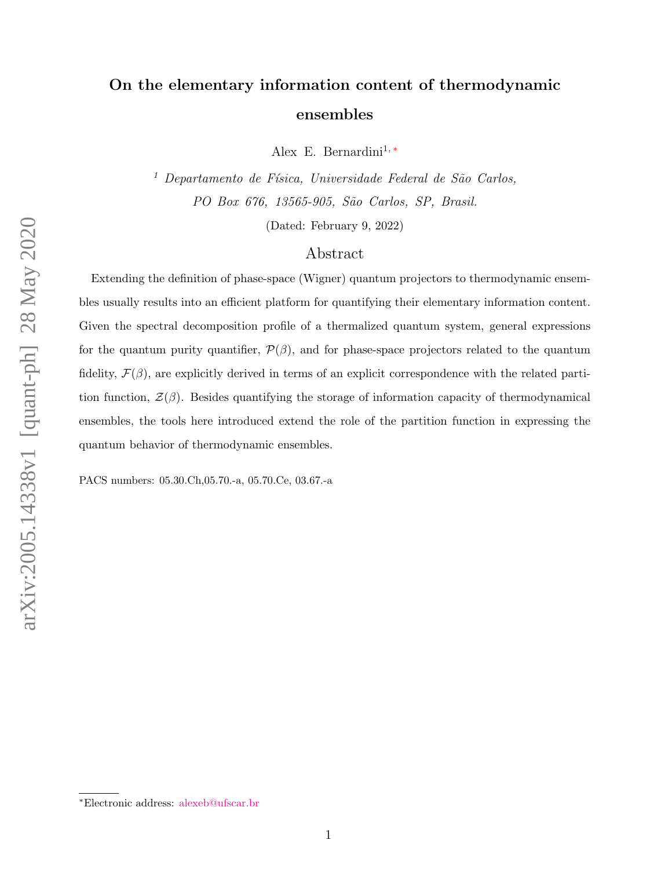## On the elementary information content of thermodynamic ensembles

Alex E. Bernardini<sup>1,\*</sup>

 $1$  Departamento de Física, Universidade Federal de São Carlos, PO Box 676, 13565-905, São Carlos, SP, Brasil.

(Dated: February 9, 2022)

## Abstract

Extending the definition of phase-space (Wigner) quantum projectors to thermodynamic ensembles usually results into an efficient platform for quantifying their elementary information content. Given the spectral decomposition profile of a thermalized quantum system, general expressions for the quantum purity quantifier,  $\mathcal{P}(\beta)$ , and for phase-space projectors related to the quantum fidelity,  $\mathcal{F}(\beta)$ , are explicitly derived in terms of an explicit correspondence with the related partition function,  $\mathcal{Z}(\beta)$ . Besides quantifying the storage of information capacity of thermodynamical ensembles, the tools here introduced extend the role of the partition function in expressing the quantum behavior of thermodynamic ensembles.

PACS numbers: 05.30.Ch,05.70.-a, 05.70.Ce, 03.67.-a

<span id="page-0-0"></span><sup>∗</sup>Electronic address: [alexeb@ufscar.br](mailto:alexeb@ufscar.br)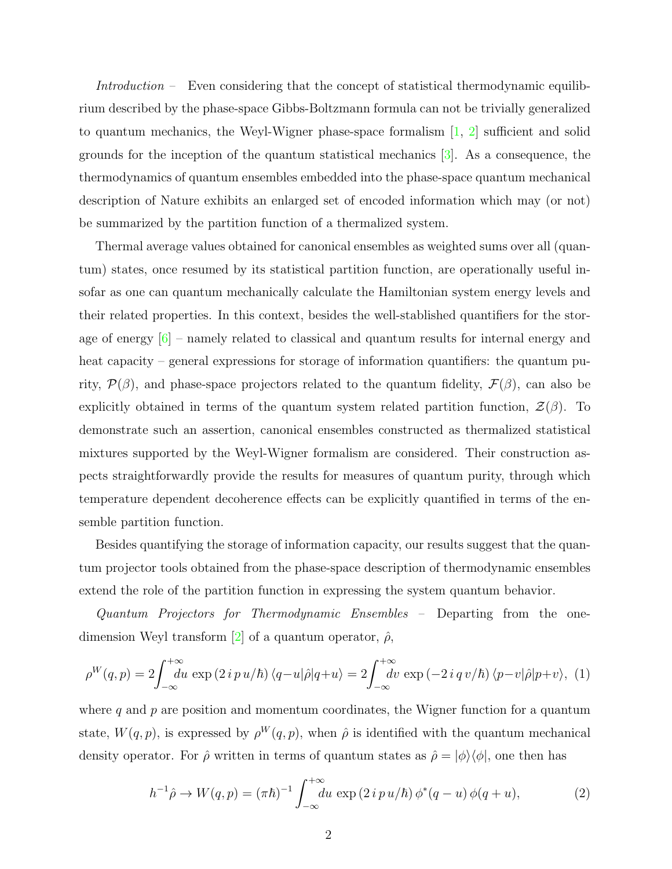Introduction – Even considering that the concept of statistical thermodynamic equilibrium described by the phase-space Gibbs-Boltzmann formula can not be trivially generalized to quantum mechanics, the Weyl-Wigner phase-space formalism  $\left[1, 2\right]$  sufficient and solid grounds for the inception of the quantum statistical mechanics [\[3\]](#page-11-2). As a consequence, the thermodynamics of quantum ensembles embedded into the phase-space quantum mechanical description of Nature exhibits an enlarged set of encoded information which may (or not) be summarized by the partition function of a thermalized system.

Thermal average values obtained for canonical ensembles as weighted sums over all (quantum) states, once resumed by its statistical partition function, are operationally useful insofar as one can quantum mechanically calculate the Hamiltonian system energy levels and their related properties. In this context, besides the well-stablished quantifiers for the storage of energy  $|6|$  – namely related to classical and quantum results for internal energy and heat capacity – general expressions for storage of information quantifiers: the quantum purity,  $\mathcal{P}(\beta)$ , and phase-space projectors related to the quantum fidelity,  $\mathcal{F}(\beta)$ , can also be explicitly obtained in terms of the quantum system related partition function,  $\mathcal{Z}(\beta)$ . To demonstrate such an assertion, canonical ensembles constructed as thermalized statistical mixtures supported by the Weyl-Wigner formalism are considered. Their construction aspects straightforwardly provide the results for measures of quantum purity, through which temperature dependent decoherence effects can be explicitly quantified in terms of the ensemble partition function.

Besides quantifying the storage of information capacity, our results suggest that the quantum projector tools obtained from the phase-space description of thermodynamic ensembles extend the role of the partition function in expressing the system quantum behavior.

Quantum Projectors for Thermodynamic Ensembles – Departing from the one-dimension Weyl transform [\[2\]](#page-11-1) of a quantum operator,  $\hat{\rho}$ ,

$$
\rho^W(q,p) = 2 \int_{-\infty}^{+\infty} du \exp(2ip u/\hbar) \langle q - u|\hat{\rho}|q + u \rangle = 2 \int_{-\infty}^{+\infty} dv \exp(-2iq v/\hbar) \langle p - v|\hat{\rho}|p + v \rangle, (1)
$$

where  $q$  and  $p$  are position and momentum coordinates, the Wigner function for a quantum state,  $W(q, p)$ , is expressed by  $\rho^W(q, p)$ , when  $\hat{\rho}$  is identified with the quantum mechanical density operator. For  $\hat{\rho}$  written in terms of quantum states as  $\hat{\rho} = |\phi\rangle\langle\phi|$ , one then has

$$
h^{-1}\hat{\rho} \to W(q, p) = (\pi \hbar)^{-1} \int_{-\infty}^{+\infty} du \, \exp\left(2 \, i \, p \, u/\hbar\right) \phi^*(q - u) \, \phi(q + u),\tag{2}
$$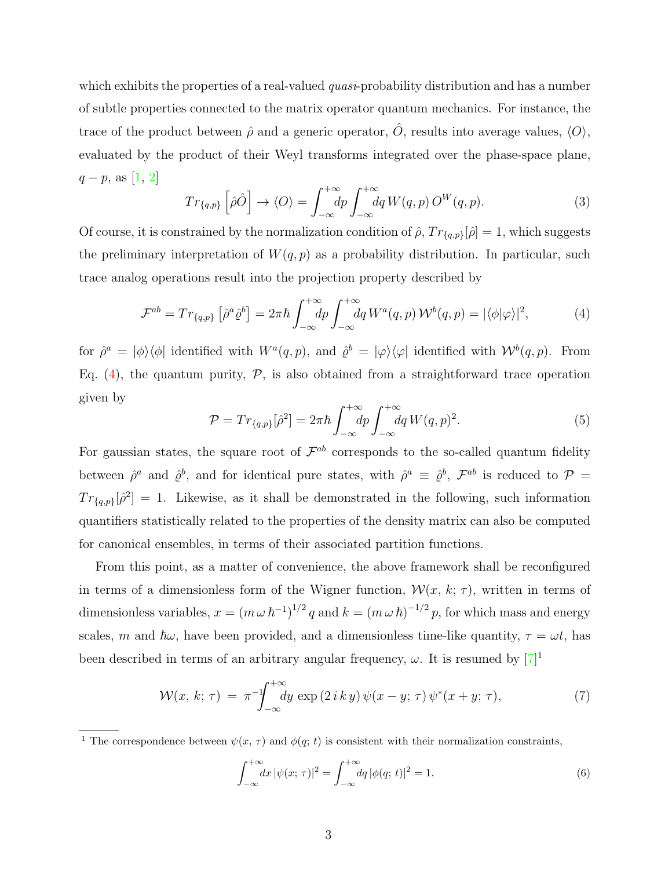which exhibits the properties of a real-valued  $quasi$ -probability distribution and has a number of subtle properties connected to the matrix operator quantum mechanics. For instance, the trace of the product between  $\hat{\rho}$  and a generic operator,  $\hat{O}$ , results into average values,  $\langle O \rangle$ , evaluated by the product of their Weyl transforms integrated over the phase-space plane,  $q - p$ , as [\[1,](#page-11-0) [2\]](#page-11-1)

$$
Tr_{\{q,p\}}\left[\hat{\rho}\hat{O}\right] \to \langle O\rangle = \int_{-\infty}^{+\infty} dp \int_{-\infty}^{+\infty} dq \, W(q,p) \, O^W(q,p). \tag{3}
$$

Of course, it is constrained by the normalization condition of  $\hat{\rho}$ ,  $Tr_{q,p}[\hat{\rho}] = 1$ , which suggests the preliminary interpretation of  $W(q, p)$  as a probability distribution. In particular, such trace analog operations result into the projection property described by

<span id="page-2-0"></span>
$$
\mathcal{F}^{ab} = Tr_{\{q,p\}} \left[ \hat{\rho}^a \hat{\varrho}^b \right] = 2\pi \hbar \int_{-\infty}^{+\infty} dp \int_{-\infty}^{+\infty} dq \, W^a(q,p) \, \mathcal{W}^b(q,p) = |\langle \phi | \varphi \rangle|^2, \tag{4}
$$

for  $\hat{\rho}^a = |\phi\rangle\langle\phi|$  identified with  $W^a(q, p)$ , and  $\hat{\varrho}^b = |\varphi\rangle\langle\varphi|$  identified with  $\mathcal{W}^b(q, p)$ . From Eq.  $(4)$ , the quantum purity,  $P$ , is also obtained from a straightforward trace operation given by

$$
\mathcal{P} = Tr_{\{q,p\}}[\hat{\rho}^2] = 2\pi\hbar \int_{-\infty}^{+\infty} dp \int_{-\infty}^{+\infty} dq W(q,p)^2.
$$
 (5)

For gaussian states, the square root of  $\mathcal{F}^{ab}$  corresponds to the so-called quantum fidelity between  $\hat{\rho}^a$  and  $\hat{\varrho}^b$ , and for identical pure states, with  $\hat{\rho}^a \equiv \hat{\varrho}^b$ ,  $\mathcal{F}^{ab}$  is reduced to  $\mathcal{P}$  =  $Tr_{q,p}[\hat{\rho}^2]=1$ . Likewise, as it shall be demonstrated in the following, such information quantifiers statistically related to the properties of the density matrix can also be computed for canonical ensembles, in terms of their associated partition functions.

From this point, as a matter of convenience, the above framework shall be reconfigured in terms of a dimensionless form of the Wigner function,  $\mathcal{W}(x, k; \tau)$ , written in terms of dimensionless variables,  $x = (m \omega \hbar^{-1})^{1/2} q$  and  $k = (m \omega \hbar)^{-1/2} p$ , for which mass and energy scales, m and  $\hbar\omega$ , have been provided, and a dimensionless time-like quantity,  $\tau = \omega t$ , has been described in terms of an arbitrary angular frequency,  $\omega$ . It is resumed by  $[7]^1$ 

$$
\mathcal{W}(x,\,k;\,\tau) = \pi^{-1}\!\!\!\int_{-\infty}^{+\infty} dy \, \exp\left(2\,i\,k\,y\right)\psi(x-y;\,\tau)\,\psi^*(x+y;\,\tau),\tag{7}
$$

$$
\int_{-\infty}^{+\infty} dx \, |\psi(x; \, \tau)|^2 = \int_{-\infty}^{+\infty} dq \, |\phi(q; \, t)|^2 = 1. \tag{6}
$$

<sup>&</sup>lt;sup>1</sup> The correspondence between  $\psi(x, \tau)$  and  $\phi(q; t)$  is consistent with their normalization constraints,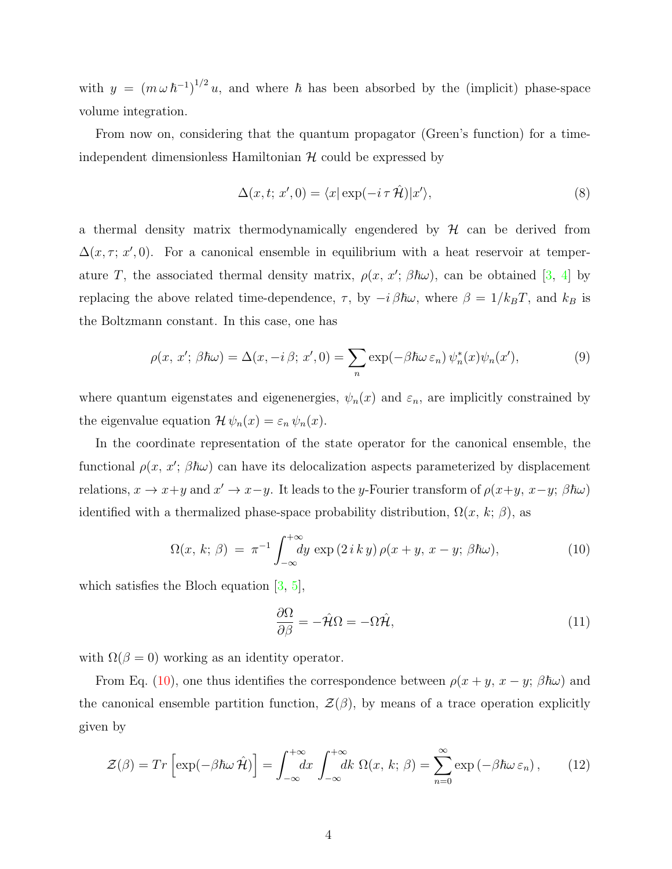with  $y = (m \omega \hbar^{-1})^{1/2} u$ , and where  $\hbar$  has been absorbed by the (implicit) phase-space volume integration.

From now on, considering that the quantum propagator (Green's function) for a timeindependent dimensionless Hamiltonian  $H$  could be expressed by

$$
\Delta(x, t; x', 0) = \langle x | \exp(-i \tau \hat{\mathcal{H}}) | x' \rangle,
$$
\n(8)

a thermal density matrix thermodynamically engendered by  $H$  can be derived from  $\Delta(x, \tau; x', 0)$ . For a canonical ensemble in equilibrium with a heat reservoir at temperature T, the associated thermal density matrix,  $\rho(x, x'; \beta \hbar \omega)$ , can be obtained [\[3,](#page-11-2) [4\]](#page-11-5) by replacing the above related time-dependence,  $\tau$ , by  $-i \beta \hbar \omega$ , where  $\beta = 1/k_B T$ , and  $k_B$  is the Boltzmann constant. In this case, one has

$$
\rho(x, x'; \beta \hbar \omega) = \Delta(x, -i \beta; x', 0) = \sum_{n} \exp(-\beta \hbar \omega \varepsilon_n) \psi_n^*(x) \psi_n(x'), \tag{9}
$$

where quantum eigenstates and eigenenergies,  $\psi_n(x)$  and  $\varepsilon_n$ , are implicitly constrained by the eigenvalue equation  $\mathcal{H}\psi_n(x) = \varepsilon_n \psi_n(x)$ .

In the coordinate representation of the state operator for the canonical ensemble, the functional  $\rho(x, x'; \beta \hbar \omega)$  can have its delocalization aspects parameterized by displacement relations,  $x \to x+y$  and  $x' \to x-y$ . It leads to the y-Fourier transform of  $\rho(x+y, x-y; \beta \hbar \omega)$ identified with a thermalized phase-space probability distribution,  $\Omega(x, k; \beta)$ , as

<span id="page-3-0"></span>
$$
\Omega(x, k; \beta) = \pi^{-1} \int_{-\infty}^{+\infty} dy \exp(2iky) \rho(x+y, x-y; \beta \hbar \omega), \tag{10}
$$

which satisfies the Bloch equation  $[3, 5]$  $[3, 5]$ ,

$$
\frac{\partial \Omega}{\partial \beta} = -\hat{\mathcal{H}}\Omega = -\Omega \hat{\mathcal{H}},\tag{11}
$$

with  $\Omega(\beta = 0)$  working as an identity operator.

From Eq. [\(10\)](#page-3-0), one thus identifies the correspondence between  $\rho(x + y, x - y; \beta \hbar \omega)$  and the canonical ensemble partition function,  $\mathcal{Z}(\beta)$ , by means of a trace operation explicitly given by

<span id="page-3-1"></span>
$$
\mathcal{Z}(\beta) = Tr \left[ \exp(-\beta \hbar \omega \hat{\mathcal{H}}) \right] = \int_{-\infty}^{+\infty} dx \int_{-\infty}^{+\infty} dk \ \Omega(x, k; \beta) = \sum_{n=0}^{\infty} \exp(-\beta \hbar \omega \varepsilon_n), \qquad (12)
$$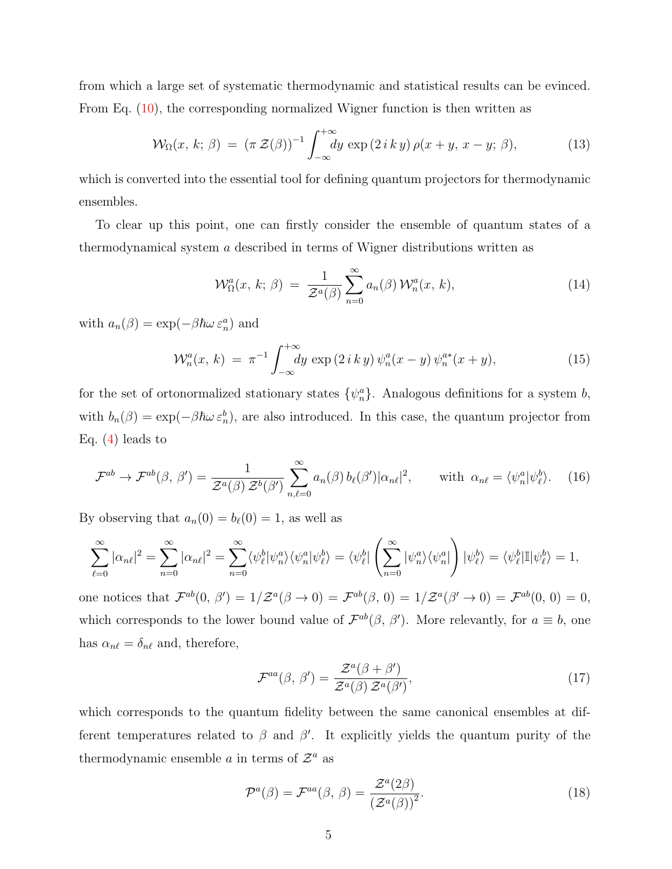from which a large set of systematic thermodynamic and statistical results can be evinced. From Eq. [\(10\)](#page-3-0), the corresponding normalized Wigner function is then written as

$$
\mathcal{W}_{\Omega}(x,\,k;\,\beta) = (\pi \,\mathcal{Z}(\beta))^{-1} \int_{-\infty}^{+\infty} dy \, \exp\left(2\,i\,k\,y\right) \rho(x+y,\,x-y;\,\beta),\tag{13}
$$

which is converted into the essential tool for defining quantum projectors for thermodynamic ensembles.

To clear up this point, one can firstly consider the ensemble of quantum states of a thermodynamical system a described in terms of Wigner distributions written as

<span id="page-4-1"></span>
$$
\mathcal{W}_{\Omega}^{a}(x, k; \beta) = \frac{1}{\mathcal{Z}^{a}(\beta)} \sum_{n=0}^{\infty} a_{n}(\beta) \mathcal{W}_{n}^{a}(x, k), \qquad (14)
$$

with  $a_n(\beta) = \exp(-\beta \hbar \omega \varepsilon_n^a)$  and

$$
\mathcal{W}_n^a(x, k) = \pi^{-1} \int_{-\infty}^{+\infty} dy \exp(2 i k y) \psi_n^a(x - y) \psi_n^{a*}(x + y), \tag{15}
$$

for the set of ortonormalized stationary states  $\{\psi_n^a\}$ . Analogous definitions for a system b, with  $b_n(\beta) = \exp(-\beta \hbar \omega \varepsilon_n^b)$ , are also introduced. In this case, the quantum projector from Eq.  $(4)$  leads to

$$
\mathcal{F}^{ab} \to \mathcal{F}^{ab}(\beta, \beta') = \frac{1}{\mathcal{Z}^a(\beta)\,\mathcal{Z}^b(\beta')} \sum_{n,\ell=0}^{\infty} a_n(\beta) \, b_\ell(\beta') |\alpha_{n\ell}|^2, \qquad \text{with } \alpha_{n\ell} = \langle \psi_n^a | \psi_\ell^b \rangle. \tag{16}
$$

By observing that  $a_n(0) = b_\ell(0) = 1$ , as well as

$$
\sum_{\ell=0}^{\infty} |\alpha_{n\ell}|^2 = \sum_{n=0}^{\infty} |\alpha_{n\ell}|^2 = \sum_{n=0}^{\infty} \langle \psi_{\ell}^b | \psi_n^a \rangle \langle \psi_n^a | \psi_{\ell}^b \rangle = \langle \psi_{\ell}^b | \left( \sum_{n=0}^{\infty} |\psi_n^a \rangle \langle \psi_n^a | \right) | \psi_{\ell}^b \rangle = \langle \psi_{\ell}^b | \mathbb{I} | \psi_{\ell}^b \rangle = 1,
$$

one notices that  $\mathcal{F}^{ab}(0, \beta') = 1/\mathcal{Z}^{a}(\beta \to 0) = \mathcal{F}^{ab}(\beta, 0) = 1/\mathcal{Z}^{a}(\beta' \to 0) = \mathcal{F}^{ab}(0, 0) = 0$ , which corresponds to the lower bound value of  $\mathcal{F}^{ab}(\beta, \beta')$ . More relevantly, for  $a \equiv b$ , one has  $\alpha_{n\ell} = \delta_{n\ell}$  and, therefore,

<span id="page-4-0"></span>
$$
\mathcal{F}^{aa}(\beta,\,\beta') = \frac{\mathcal{Z}^a(\beta+\beta')}{\mathcal{Z}^a(\beta)\,\mathcal{Z}^a(\beta')},\tag{17}
$$

which corresponds to the quantum fidelity between the same canonical ensembles at different temperatures related to  $\beta$  and  $\beta'$ . It explicitly yields the quantum purity of the thermodynamic ensemble a in terms of  $\mathcal{Z}^a$  as

$$
\mathcal{P}^{a}(\beta) = \mathcal{F}^{aa}(\beta, \beta) = \frac{\mathcal{Z}^{a}(2\beta)}{\left(\mathcal{Z}^{a}(\beta)\right)^{2}}.
$$
\n(18)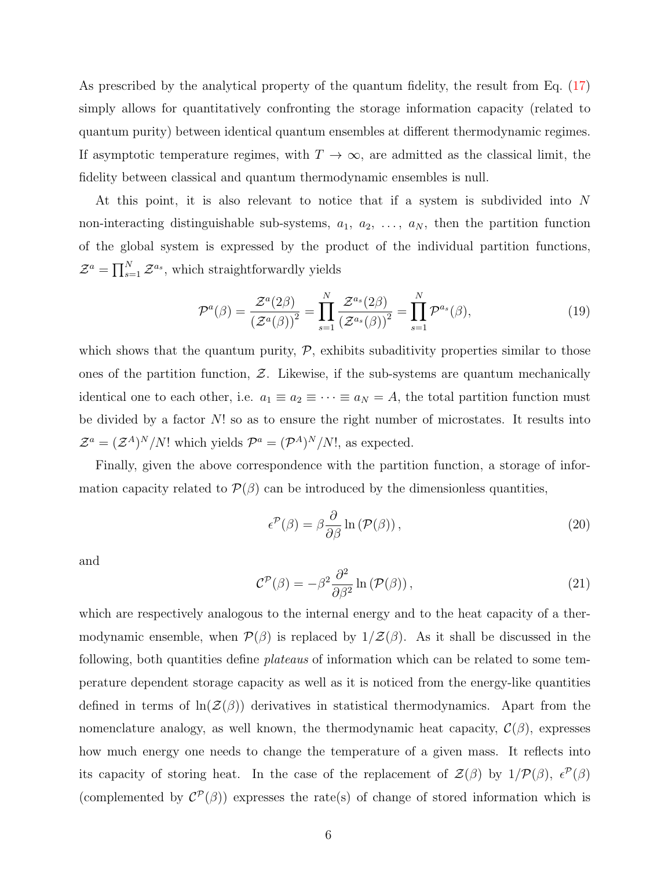As prescribed by the analytical property of the quantum fidelity, the result from Eq. [\(17\)](#page-4-0) simply allows for quantitatively confronting the storage information capacity (related to quantum purity) between identical quantum ensembles at different thermodynamic regimes. If asymptotic temperature regimes, with  $T \to \infty$ , are admitted as the classical limit, the fidelity between classical and quantum thermodynamic ensembles is null.

At this point, it is also relevant to notice that if a system is subdivided into N non-interacting distinguishable sub-systems,  $a_1, a_2, \ldots, a_N$ , then the partition function of the global system is expressed by the product of the individual partition functions,  $\mathcal{Z}^a = \prod_{s=1}^N \mathcal{Z}^{a_s}$ , which straightforwardly yields

<span id="page-5-0"></span>
$$
\mathcal{P}^{a}(\beta) = \frac{\mathcal{Z}^{a}(2\beta)}{\left(\mathcal{Z}^{a}(\beta)\right)^{2}} = \prod_{s=1}^{N} \frac{\mathcal{Z}^{a_{s}}(2\beta)}{\left(\mathcal{Z}^{a_{s}}(\beta)\right)^{2}} = \prod_{s=1}^{N} \mathcal{P}^{a_{s}}(\beta),\tag{19}
$$

which shows that the quantum purity,  $P$ , exhibits subaditivity properties similar to those ones of the partition function,  $Z$ . Likewise, if the sub-systems are quantum mechanically identical one to each other, i.e.  $a_1 \equiv a_2 \equiv \cdots \equiv a_N = A$ , the total partition function must be divided by a factor N! so as to ensure the right number of microstates. It results into  $\mathcal{Z}^a = (\mathcal{Z}^A)^N/N!$  which yields  $\mathcal{P}^a = (\mathcal{P}^A)^N/N!$ , as expected.

Finally, given the above correspondence with the partition function, a storage of information capacity related to  $\mathcal{P}(\beta)$  can be introduced by the dimensionless quantities,

<span id="page-5-1"></span>
$$
\epsilon^{\mathcal{P}}(\beta) = \beta \frac{\partial}{\partial \beta} \ln \left( \mathcal{P}(\beta) \right),\tag{20}
$$

and

<span id="page-5-2"></span>
$$
\mathcal{C}^{\mathcal{P}}(\beta) = -\beta^2 \frac{\partial^2}{\partial \beta^2} \ln \left( \mathcal{P}(\beta) \right),\tag{21}
$$

which are respectively analogous to the internal energy and to the heat capacity of a thermodynamic ensemble, when  $\mathcal{P}(\beta)$  is replaced by  $1/\mathcal{Z}(\beta)$ . As it shall be discussed in the following, both quantities define plateaus of information which can be related to some temperature dependent storage capacity as well as it is noticed from the energy-like quantities defined in terms of  $\ln(Z(\beta))$  derivatives in statistical thermodynamics. Apart from the nomenclature analogy, as well known, the thermodynamic heat capacity,  $\mathcal{C}(\beta)$ , expresses how much energy one needs to change the temperature of a given mass. It reflects into its capacity of storing heat. In the case of the replacement of  $\mathcal{Z}(\beta)$  by  $1/\mathcal{P}(\beta)$ ,  $\epsilon^{\mathcal{P}}(\beta)$ (complemented by  $\mathcal{C}^{\mathcal{P}}(\beta)$ ) expresses the rate(s) of change of stored information which is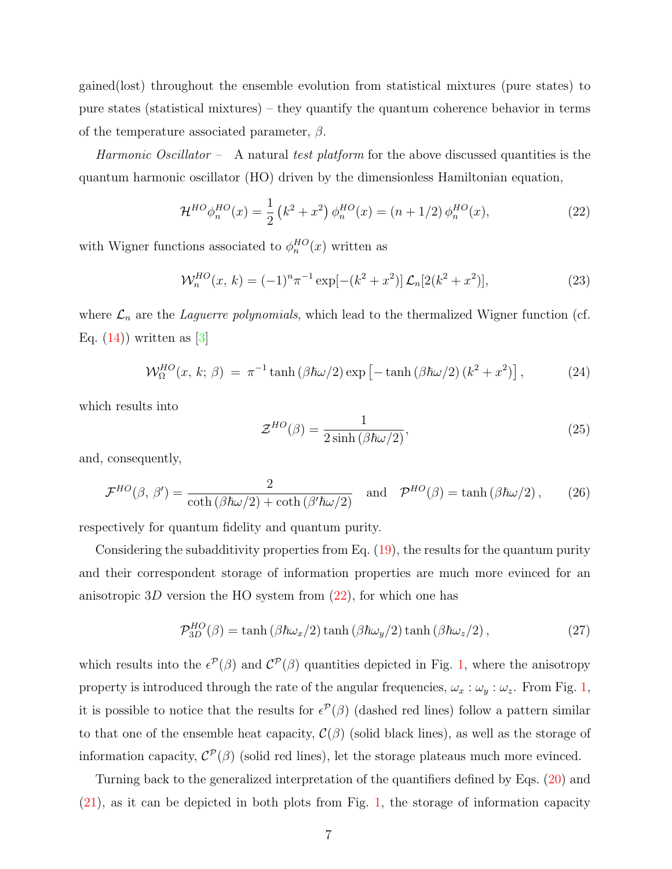gained(lost) throughout the ensemble evolution from statistical mixtures (pure states) to pure states (statistical mixtures) – they quantify the quantum coherence behavior in terms of the temperature associated parameter,  $\beta$ .

Harmonic Oscillator – A natural test platform for the above discussed quantities is the quantum harmonic oscillator (HO) driven by the dimensionless Hamiltonian equation,

<span id="page-6-0"></span>
$$
\mathcal{H}^{HO}\phi_n^{HO}(x) = \frac{1}{2} \left( k^2 + x^2 \right) \phi_n^{HO}(x) = (n + 1/2) \phi_n^{HO}(x), \tag{22}
$$

with Wigner functions associated to  $\phi_n^{HO}(x)$  written as

$$
\mathcal{W}_n^{HO}(x, k) = (-1)^n \pi^{-1} \exp[-(k^2 + x^2)] \mathcal{L}_n[2(k^2 + x^2)], \qquad (23)
$$

where  $\mathcal{L}_n$  are the *Laguerre polynomials*, which lead to the thermalized Wigner function (cf. Eq.  $(14)$ ) written as [\[3\]](#page-11-2)

<span id="page-6-1"></span>
$$
\mathcal{W}_{\Omega}^{HO}(x,\,k;\,\beta) \,=\, \pi^{-1}\tanh\left(\beta\hbar\omega/2\right)\exp\left[-\tanh\left(\beta\hbar\omega/2\right)\left(k^2+x^2\right)\right],\tag{24}
$$

which results into

$$
\mathcal{Z}^{HO}(\beta) = \frac{1}{2\sinh\left(\beta\hbar\omega/2\right)},\tag{25}
$$

and, consequently,

$$
\mathcal{F}^{HO}(\beta, \beta') = \frac{2}{\coth(\beta \hbar \omega/2) + \coth(\beta' \hbar \omega/2)} \quad \text{and} \quad \mathcal{P}^{HO}(\beta) = \tanh(\beta \hbar \omega/2), \qquad (26)
$$

respectively for quantum fidelity and quantum purity.

Considering the subadditivity properties from Eq. [\(19\)](#page-5-0), the results for the quantum purity and their correspondent storage of information properties are much more evinced for an anisotropic 3D version the HO system from  $(22)$ , for which one has

<span id="page-6-2"></span>
$$
\mathcal{P}_{3D}^{HO}(\beta) = \tanh\left(\beta\hbar\omega_x/2\right)\tanh\left(\beta\hbar\omega_y/2\right)\tanh\left(\beta\hbar\omega_z/2\right),\tag{27}
$$

which results into the  $\epsilon^{\mathcal{P}}(\beta)$  and  $\mathcal{C}^{\mathcal{P}}(\beta)$  quantities depicted in Fig. [1,](#page-7-0) where the anisotropy property is introduced through the rate of the angular frequencies,  $\omega_x : \omega_y : \omega_z$ . From Fig. [1,](#page-7-0) it is possible to notice that the results for  $\epsilon^{\mathcal{P}}(\beta)$  (dashed red lines) follow a pattern similar to that one of the ensemble heat capacity,  $\mathcal{C}(\beta)$  (solid black lines), as well as the storage of information capacity,  $\mathcal{C}^{\mathcal{P}}(\beta)$  (solid red lines), let the storage plateaus much more evinced.

Turning back to the generalized interpretation of the quantifiers defined by Eqs. [\(20\)](#page-5-1) and [\(21\)](#page-5-2), as it can be depicted in both plots from Fig. [1,](#page-7-0) the storage of information capacity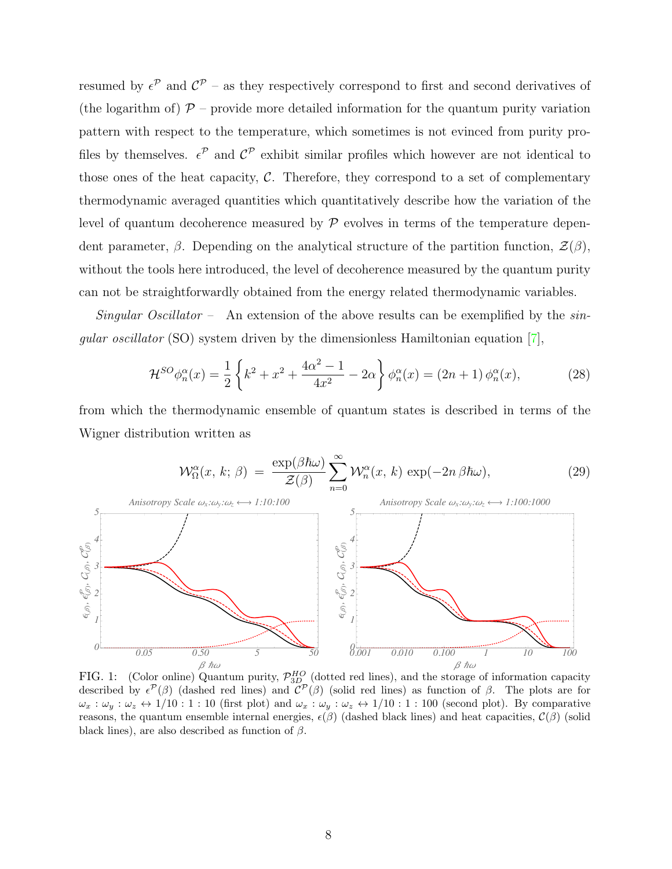resumed by  $\epsilon^{\mathcal{P}}$  and  $\mathcal{C}^{\mathcal{P}}$  – as they respectively correspond to first and second derivatives of (the logarithm of)  $\mathcal{P}$  – provide more detailed information for the quantum purity variation pattern with respect to the temperature, which sometimes is not evinced from purity profiles by themselves.  $\epsilon^{\mathcal{P}}$  and  $\mathcal{C}^{\mathcal{P}}$  exhibit similar profiles which however are not identical to those ones of the heat capacity,  $C$ . Therefore, they correspond to a set of complementary thermodynamic averaged quantities which quantitatively describe how the variation of the level of quantum decoherence measured by  $\mathcal P$  evolves in terms of the temperature dependent parameter,  $\beta$ . Depending on the analytical structure of the partition function,  $\mathcal{Z}(\beta)$ , without the tools here introduced, the level of decoherence measured by the quantum purity can not be straightforwardly obtained from the energy related thermodynamic variables.

*Singular Oscillator* - An extension of the above results can be exemplified by the  $sin$ *gular oscillator* (SO) system driven by the dimensionless Hamiltonian equation [7],

<span id="page-7-1"></span>
$$
\mathcal{H}^{SO}\phi_n^{\alpha}(x) = \frac{1}{2} \left\{ k^2 + x^2 + \frac{4\alpha^2 - 1}{4x^2} - 2\alpha \right\} \phi_n^{\alpha}(x) = (2n + 1) \phi_n^{\alpha}(x),\tag{28}
$$

from which the thermodynamic ensemble of quantum states is described in terms of the Wigner distribution written as

$$
\mathcal{W}_{\Omega}^{\alpha}(x, k; \beta) = \frac{\exp(\beta \hbar \omega)}{\mathcal{Z}(\beta)} \sum_{n=0}^{\infty} \mathcal{W}_{n}^{\alpha}(x, k) \exp(-2n \beta \hbar \omega), \tag{29}
$$



<span id="page-7-0"></span>FIG. 1: (Color online) Quantum purity,  $\mathcal{P}_{3D}^{HO}$  (dotted red lines), and the storage of information capacity described by  $\epsilon^{\mathcal{P}}(\beta)$  (dashed red lines) and  $\mathcal{C}^{\mathcal{P}}(\beta)$  (solid red lines) as function of  $\beta$  $\omega_x : \omega_y : \omega_z \leftrightarrow 1/10 : 1 : 10$  (first plot) and  $\omega_x : \omega_y : \omega_z \leftrightarrow 1/10 : 1 : 100$  (second plot). By comparative reasons, the quantum ensemble internal energies,  $\epsilon(\beta)$  (dashed black lines) and heat capacities,  $\mathcal{C}(\beta)$  (solid black lines), are also described as function of  $\beta$ .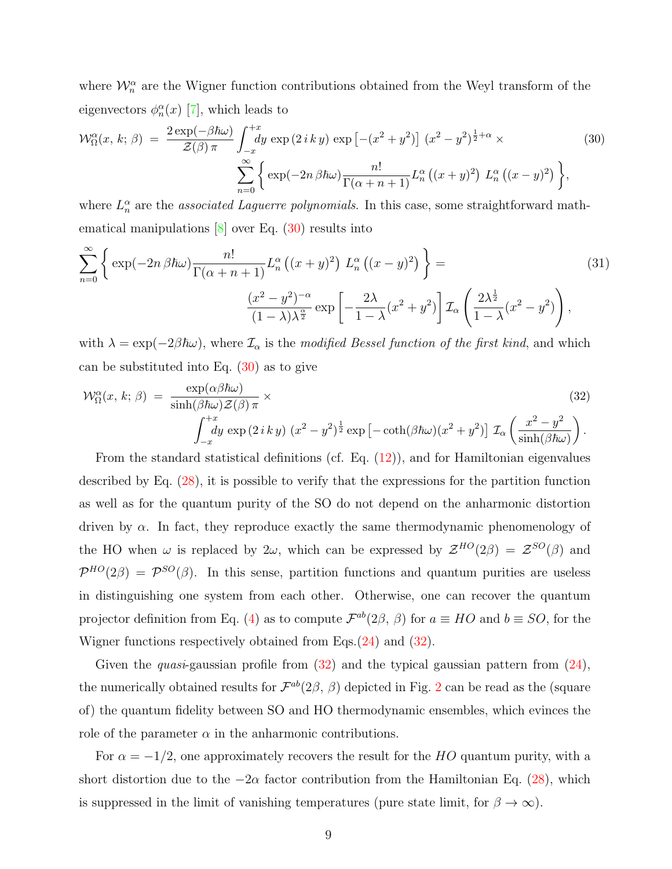where  $\mathcal{W}_n^{\alpha}$  are the Wigner function contributions obtained from the Weyl transform of the eigenvectors  $\phi_n^{\alpha}(x)$  [\[7\]](#page-11-4), which leads to

<span id="page-8-0"></span>
$$
\mathcal{W}_{\Omega}^{\alpha}(x, k; \beta) = \frac{2 \exp(-\beta \hbar \omega)}{\mathcal{Z}(\beta) \pi} \int_{-x}^{+x} dy \exp(2iky) \exp\left[-(x^2 + y^2)\right] (x^2 - y^2)^{\frac{1}{2} + \alpha} \times \left(30\right)
$$

$$
\sum_{n=0}^{\infty} \left\{ \exp(-2n \beta \hbar \omega) \frac{n!}{\Gamma(\alpha + n + 1)} L_n^{\alpha} \left( (x + y)^2 \right) L_n^{\alpha} \left( (x - y)^2 \right) \right\},
$$

where  $L_n^{\alpha}$  are the *associated Laguerre polynomials*. In this case, some straightforward mathematical manipulations [\[8\]](#page-11-7) over Eq. [\(30\)](#page-8-0) results into

$$
\sum_{n=0}^{\infty} \left\{ \exp(-2n \beta \hbar \omega) \frac{n!}{\Gamma(\alpha + n + 1)} L_n^{\alpha} \left( (x + y)^2 \right) L_n^{\alpha} \left( (x - y)^2 \right) \right\} =
$$
\n
$$
\frac{(x^2 - y^2)^{-\alpha}}{(1 - \lambda)\lambda^{\frac{\alpha}{2}}} \exp\left[ -\frac{2\lambda}{1 - \lambda} (x^2 + y^2) \right] \mathcal{I}_{\alpha} \left( \frac{2\lambda^{\frac{1}{2}}}{1 - \lambda} (x^2 - y^2) \right),
$$
\n(31)

with  $\lambda = \exp(-2\beta\hbar\omega)$ , where  $\mathcal{I}_{\alpha}$  is the modified Bessel function of the first kind, and which can be substituted into Eq.  $(30)$  as to give

<span id="page-8-1"></span>
$$
\mathcal{W}_{\Omega}^{\alpha}(x, k; \beta) = \frac{\exp(\alpha \beta \hbar \omega)}{\sinh(\beta \hbar \omega) \mathcal{Z}(\beta) \pi} \times \left[\int_{-x}^{+x} dy \exp(2iky) (x^2 - y^2)^{\frac{1}{2}} \exp[-\coth(\beta \hbar \omega)(x^2 + y^2)] \mathcal{I}_{\alpha} \left(\frac{x^2 - y^2}{\sinh(\beta \hbar \omega)}\right)\right].
$$
\n(32)

From the standard statistical definitions (cf. Eq. [\(12\)](#page-3-1)), and for Hamiltonian eigenvalues described by Eq. [\(28\)](#page-7-1), it is possible to verify that the expressions for the partition function as well as for the quantum purity of the SO do not depend on the anharmonic distortion driven by  $\alpha$ . In fact, they reproduce exactly the same thermodynamic phenomenology of the HO when  $\omega$  is replaced by  $2\omega$ , which can be expressed by  $\mathcal{Z}^{HO}(2\beta) = \mathcal{Z}^{SO}(\beta)$  and  $\mathcal{P}^{HO}(2\beta) = \mathcal{P}^{SO}(\beta)$ . In this sense, partition functions and quantum purities are useless in distinguishing one system from each other. Otherwise, one can recover the quantum projector definition from Eq. [\(4\)](#page-2-0) as to compute  $\mathcal{F}^{ab}(2\beta, \beta)$  for  $a \equiv HO$  and  $b \equiv SO$ , for the Wigner functions respectively obtained from Eqs.[\(24\)](#page-6-1) and [\(32\)](#page-8-1).

Given the *quasi*-gaussian profile from  $(32)$  and the typical gaussian pattern from  $(24)$ , the numerically obtained results for  $\mathcal{F}^{ab}(2\beta, \beta)$  $\mathcal{F}^{ab}(2\beta, \beta)$  $\mathcal{F}^{ab}(2\beta, \beta)$  depicted in Fig. 2 can be read as the (square of) the quantum fidelity between SO and HO thermodynamic ensembles, which evinces the role of the parameter  $\alpha$  in the anharmonic contributions.

For  $\alpha = -1/2$ , one approximately recovers the result for the HO quantum purity, with a short distortion due to the  $-2\alpha$  factor contribution from the Hamiltonian Eq. [\(28\)](#page-7-1), which is suppressed in the limit of vanishing temperatures (pure state limit, for  $\beta \to \infty$ ).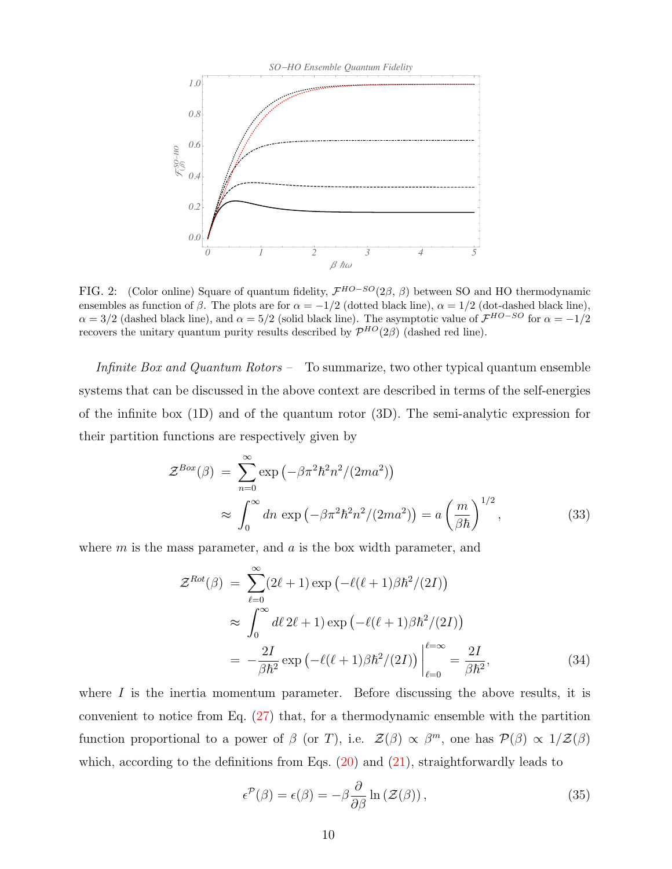

<span id="page-9-0"></span>FIG. 2: (Color online) Square of quantum fidelity,  $\mathcal{F}^{HO-SO}(2\beta, \beta)$  between SO and HO thermodynamic ensembles as function of  $\beta$ . The plots are for  $\alpha = -1/2$  (dotted black line),  $\alpha = 1/2$  (dot-dashed black line),  $\alpha = 3/2$  (dashed black line), and  $\alpha = 5/2$  (solid black line). The asymptotic value of  $\mathcal{F}^{HO-SO}$  for  $\alpha = -1/2$ recovers the unitary quantum purity results described by  $\mathcal{P}^{HO}(2\beta)$  (dashed red line).

Infinite Box and Quantum Rotors – To summarize, two other typical quantum ensemble systems that can be discussed in the above context are described in terms of the self-energies of the infinite box (1D) and of the quantum rotor (3D). The semi-analytic expression for their partition functions are respectively given by

$$
\mathcal{Z}^{Box}(\beta) = \sum_{n=0}^{\infty} \exp\left(-\beta \pi^2 \hbar^2 n^2 / (2ma^2)\right)
$$
  
 
$$
\approx \int_0^{\infty} dn \exp\left(-\beta \pi^2 \hbar^2 n^2 / (2ma^2)\right) = a\left(\frac{m}{\beta \hbar}\right)^{1/2}, \tag{33}
$$

where  $m$  is the mass parameter, and  $a$  is the box width parameter, and

$$
\mathcal{Z}^{Rot}(\beta) = \sum_{\ell=0}^{\infty} (2\ell+1) \exp\left(-\ell(\ell+1)\beta\hbar^2/(2I)\right)
$$
  

$$
\approx \int_0^{\infty} d\ell \, 2\ell+1 \exp\left(-\ell(\ell+1)\beta\hbar^2/(2I)\right)
$$
  

$$
= -\frac{2I}{\beta\hbar^2} \exp\left(-\ell(\ell+1)\beta\hbar^2/(2I)\right) \Big|_{\ell=0}^{\ell=\infty} = \frac{2I}{\beta\hbar^2}, \tag{34}
$$

where  $I$  is the inertia momentum parameter. Before discussing the above results, it is convenient to notice from Eq. [\(27\)](#page-6-2) that, for a thermodynamic ensemble with the partition function proportional to a power of  $\beta$  (or T), i.e.  $\mathcal{Z}(\beta) \propto \beta^m$ , one has  $\mathcal{P}(\beta) \propto 1/\mathcal{Z}(\beta)$ which, according to the definitions from Eqs.  $(20)$  and  $(21)$ , straightforwardly leads to

$$
\epsilon^{\mathcal{P}}(\beta) = \epsilon(\beta) = -\beta \frac{\partial}{\partial \beta} \ln \left( \mathcal{Z}(\beta) \right),\tag{35}
$$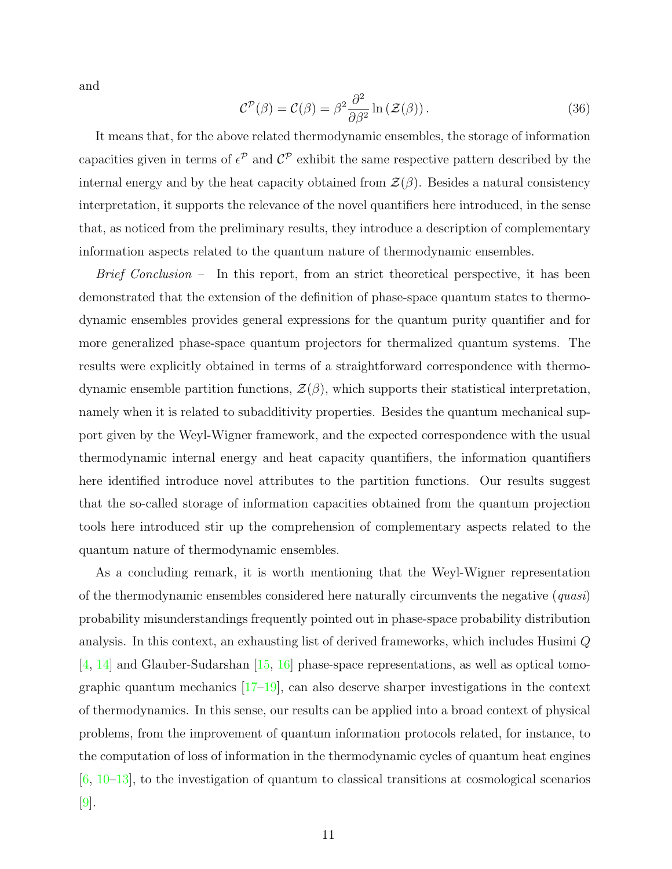and

$$
\mathcal{C}^{\mathcal{P}}(\beta) = \mathcal{C}(\beta) = \beta^2 \frac{\partial^2}{\partial \beta^2} \ln \left( \mathcal{Z}(\beta) \right). \tag{36}
$$

It means that, for the above related thermodynamic ensembles, the storage of information capacities given in terms of  $\epsilon^{\mathcal{P}}$  and  $\mathcal{C}^{\mathcal{P}}$  exhibit the same respective pattern described by the internal energy and by the heat capacity obtained from  $\mathcal{Z}(\beta)$ . Besides a natural consistency interpretation, it supports the relevance of the novel quantifiers here introduced, in the sense that, as noticed from the preliminary results, they introduce a description of complementary information aspects related to the quantum nature of thermodynamic ensembles.

Brief Conclusion – In this report, from an strict theoretical perspective, it has been demonstrated that the extension of the definition of phase-space quantum states to thermodynamic ensembles provides general expressions for the quantum purity quantifier and for more generalized phase-space quantum projectors for thermalized quantum systems. The results were explicitly obtained in terms of a straightforward correspondence with thermodynamic ensemble partition functions,  $\mathcal{Z}(\beta)$ , which supports their statistical interpretation, namely when it is related to subadditivity properties. Besides the quantum mechanical support given by the Weyl-Wigner framework, and the expected correspondence with the usual thermodynamic internal energy and heat capacity quantifiers, the information quantifiers here identified introduce novel attributes to the partition functions. Our results suggest that the so-called storage of information capacities obtained from the quantum projection tools here introduced stir up the comprehension of complementary aspects related to the quantum nature of thermodynamic ensembles.

As a concluding remark, it is worth mentioning that the Weyl-Wigner representation of the thermodynamic ensembles considered here naturally circumvents the negative  $-quasi$ probability misunderstandings frequently pointed out in phase-space probability distribution analysis. In this context, an exhausting list of derived frameworks, which includes Husimi Q [\[4,](#page-11-5) [14\]](#page-11-8) and Glauber-Sudarshan [\[15,](#page-11-9) [16\]](#page-11-10) phase-space representations, as well as optical tomographic quantum mechanics  $[17-19]$  $[17-19]$ , can also deserve sharper investigations in the context of thermodynamics. In this sense, our results can be applied into a broad context of physical problems, from the improvement of quantum information protocols related, for instance, to the computation of loss of information in the thermodynamic cycles of quantum heat engines  $[6, 10-13]$  $[6, 10-13]$  $[6, 10-13]$ , to the investigation of quantum to classical transitions at cosmological scenarios [\[9\]](#page-11-15).